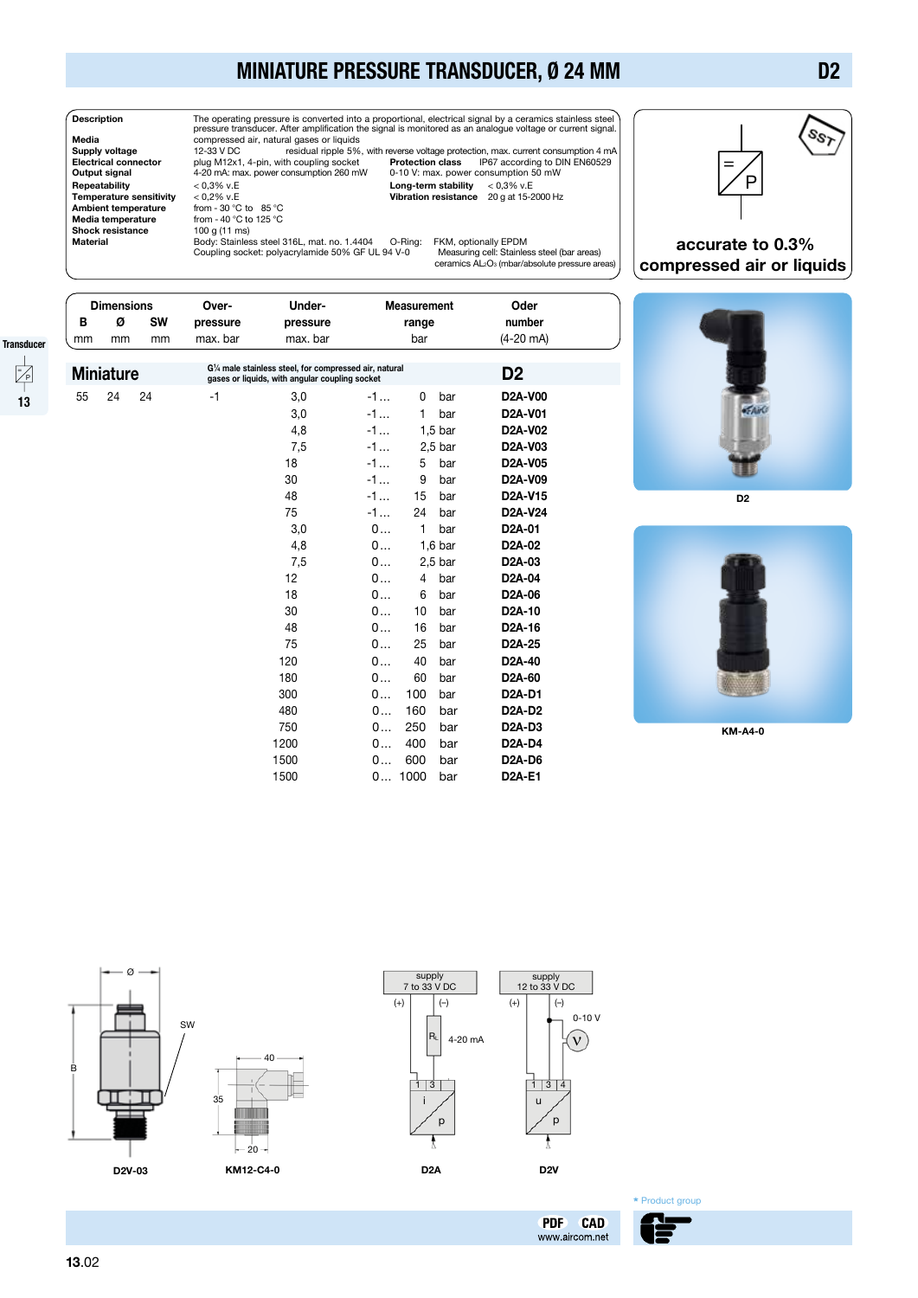## MINIATURE PRESSURE TRANSDUCER, Ø 24 MM



**Description** The operating pressure is converted into a proportional, electrical signal by a ceramics stainless steel<br>pressure transducer. After amplification the signal is monitored as an analogue voltage or current sign Repeatability < 0,3% v.E Long-term stability < 0,3% v.E Temperature sensitivity < 0,2% v.E Vibration resistance 20 g at 15-2000 Hz **Media temperature f**rom - 40 °C to 125 °C<br>**Shock resistance** 100 g (11 ms)

Suppl**y voltage** 12-33 V DC residual ripple 5%, with reverse voltage protection, max. current consumption 4 mA<br>Electrical connector plug M12x1, 4-pin, with coupling socket Protection class IP67 according t

|                      | .<br><b>Electrical connector</b><br>Output signal<br>Repeatability<br><b>Temperature sensitivity</b><br><b>Ambient temperature</b><br>Media temperature<br>Shock resistance<br><b>Material</b> |                   |           | plug M12x1, 4-pin, with coupling socket<br><b>Protection class</b><br>4-20 mA: max. power consumption 260 mW<br>$< 0.3\%$ v.E<br>$< 0.2\%$ v.E<br>from - 30 °C to 85 °C<br>from - 40 °C to 125 °C<br>100 g (11 ms)<br>Body: Stainless steel 316L, mat. no. 1.4404<br>O-Ring:<br>Coupling socket: polyacrylamide 50% GF UL 94 V-0 |                                                                                                          |      |              | Long-term stability | IP67 according to DIN EN60529<br>0-10 V: max. power consumption 50 mW<br>$< 0.3\%$ v.E<br>Vibration resistance 20 g at 15-2000 Hz<br>FKM, optionally EPDM<br>Measuring cell: Stainless steel (bar areas)<br>ceramics AL2O <sub>3</sub> (mbar/absolute pressure areas) | accura<br>compressed |
|----------------------|------------------------------------------------------------------------------------------------------------------------------------------------------------------------------------------------|-------------------|-----------|----------------------------------------------------------------------------------------------------------------------------------------------------------------------------------------------------------------------------------------------------------------------------------------------------------------------------------|----------------------------------------------------------------------------------------------------------|------|--------------|---------------------|-----------------------------------------------------------------------------------------------------------------------------------------------------------------------------------------------------------------------------------------------------------------------|----------------------|
|                      |                                                                                                                                                                                                | <b>Dimensions</b> |           | Over-                                                                                                                                                                                                                                                                                                                            | Under-                                                                                                   |      | Measurement  |                     | Oder                                                                                                                                                                                                                                                                  |                      |
|                      | В                                                                                                                                                                                              | Ø                 | <b>SW</b> | pressure                                                                                                                                                                                                                                                                                                                         | pressure                                                                                                 |      | range        |                     | number                                                                                                                                                                                                                                                                |                      |
|                      | mm                                                                                                                                                                                             | mm                | mm        | max. bar                                                                                                                                                                                                                                                                                                                         | max. bar                                                                                                 |      | bar          |                     | $(4-20 \text{ mA})$                                                                                                                                                                                                                                                   |                      |
| Transducer           |                                                                                                                                                                                                |                   |           |                                                                                                                                                                                                                                                                                                                                  |                                                                                                          |      |              |                     |                                                                                                                                                                                                                                                                       |                      |
| $\frac{1}{\sqrt{P}}$ |                                                                                                                                                                                                | <b>Miniature</b>  |           |                                                                                                                                                                                                                                                                                                                                  | G1/4 male stainless steel, for compressed air, natural<br>gases or liquids, with angular coupling socket |      |              |                     | D <sub>2</sub>                                                                                                                                                                                                                                                        |                      |
| 13                   | 55                                                                                                                                                                                             | 24                | 24        | $-1$                                                                                                                                                                                                                                                                                                                             | 3,0                                                                                                      | -1   | 0            | bar                 | <b>D2A-V00</b>                                                                                                                                                                                                                                                        |                      |
|                      |                                                                                                                                                                                                |                   |           |                                                                                                                                                                                                                                                                                                                                  | 3,0                                                                                                      | $-1$ | 1            | bar                 | D2A-V01                                                                                                                                                                                                                                                               |                      |
|                      |                                                                                                                                                                                                |                   |           |                                                                                                                                                                                                                                                                                                                                  | 4,8                                                                                                      | $-1$ |              | $1,5$ bar           | <b>D2A-V02</b>                                                                                                                                                                                                                                                        |                      |
|                      |                                                                                                                                                                                                |                   |           |                                                                                                                                                                                                                                                                                                                                  | 7,5                                                                                                      | $-1$ |              | $2,5$ bar           | D2A-V03                                                                                                                                                                                                                                                               |                      |
|                      |                                                                                                                                                                                                |                   |           |                                                                                                                                                                                                                                                                                                                                  | 18                                                                                                       | $-1$ | 5            | bar                 | D2A-V05                                                                                                                                                                                                                                                               |                      |
|                      |                                                                                                                                                                                                |                   |           |                                                                                                                                                                                                                                                                                                                                  | 30                                                                                                       | $-1$ | 9            | bar                 | D2A-V09                                                                                                                                                                                                                                                               |                      |
|                      |                                                                                                                                                                                                |                   |           |                                                                                                                                                                                                                                                                                                                                  | 48                                                                                                       | $-1$ | 15           | bar                 | D2A-V15                                                                                                                                                                                                                                                               |                      |
|                      |                                                                                                                                                                                                |                   |           |                                                                                                                                                                                                                                                                                                                                  | 75                                                                                                       | $-1$ | 24           | bar                 | D2A-V24                                                                                                                                                                                                                                                               |                      |
|                      |                                                                                                                                                                                                |                   |           |                                                                                                                                                                                                                                                                                                                                  | 3,0                                                                                                      | 0    | $\mathbf{1}$ | bar                 | D <sub>2</sub> A-01                                                                                                                                                                                                                                                   |                      |
|                      |                                                                                                                                                                                                |                   |           |                                                                                                                                                                                                                                                                                                                                  | 4,8                                                                                                      | 0    |              | $1,6$ bar           | D2A-02                                                                                                                                                                                                                                                                |                      |
|                      |                                                                                                                                                                                                |                   |           |                                                                                                                                                                                                                                                                                                                                  | 7,5                                                                                                      | 0    |              | $2,5$ bar           | D <sub>2</sub> A-03                                                                                                                                                                                                                                                   |                      |
|                      |                                                                                                                                                                                                |                   |           |                                                                                                                                                                                                                                                                                                                                  | 12                                                                                                       | 0    | 4            | bar                 | D <sub>2</sub> A-04                                                                                                                                                                                                                                                   |                      |
|                      |                                                                                                                                                                                                |                   |           |                                                                                                                                                                                                                                                                                                                                  | 18                                                                                                       | 0    | 6            | bar                 | D <sub>2</sub> A-06                                                                                                                                                                                                                                                   |                      |
|                      |                                                                                                                                                                                                |                   |           |                                                                                                                                                                                                                                                                                                                                  | 30                                                                                                       | 0    | 10           | bar                 | D <sub>2</sub> A-10                                                                                                                                                                                                                                                   |                      |
|                      |                                                                                                                                                                                                |                   |           |                                                                                                                                                                                                                                                                                                                                  | 48                                                                                                       | 0    | 16           | bar                 | D <sub>2</sub> A-16                                                                                                                                                                                                                                                   |                      |
|                      |                                                                                                                                                                                                |                   |           |                                                                                                                                                                                                                                                                                                                                  | 75                                                                                                       | 0    | 25           | bar                 | D <sub>2</sub> A-25                                                                                                                                                                                                                                                   |                      |
|                      |                                                                                                                                                                                                |                   |           |                                                                                                                                                                                                                                                                                                                                  | 120                                                                                                      | 0    | 40           | bar                 | D <sub>2</sub> A-40                                                                                                                                                                                                                                                   |                      |
|                      |                                                                                                                                                                                                |                   |           |                                                                                                                                                                                                                                                                                                                                  | 180                                                                                                      | 0    | 60           | bar                 | D <sub>2</sub> A-60                                                                                                                                                                                                                                                   |                      |
|                      |                                                                                                                                                                                                |                   |           |                                                                                                                                                                                                                                                                                                                                  | 300                                                                                                      | 0    | 100          | bar                 | <b>D2A-D1</b>                                                                                                                                                                                                                                                         |                      |
|                      |                                                                                                                                                                                                |                   |           |                                                                                                                                                                                                                                                                                                                                  | 480                                                                                                      | 0    | 160          | bar                 | <b>D2A-D2</b>                                                                                                                                                                                                                                                         |                      |
|                      |                                                                                                                                                                                                |                   |           |                                                                                                                                                                                                                                                                                                                                  | 750                                                                                                      | 0    | 250          | bar                 | D2A-D3                                                                                                                                                                                                                                                                | <b>KM</b>            |
|                      |                                                                                                                                                                                                |                   |           |                                                                                                                                                                                                                                                                                                                                  | 1200                                                                                                     | 0    | 400          | bar                 | <b>D2A-D4</b>                                                                                                                                                                                                                                                         |                      |
|                      |                                                                                                                                                                                                |                   |           |                                                                                                                                                                                                                                                                                                                                  | 1500                                                                                                     | 0    | 600          | bar                 | <b>D2A-D6</b>                                                                                                                                                                                                                                                         |                      |
|                      |                                                                                                                                                                                                |                   |           |                                                                                                                                                                                                                                                                                                                                  | 1500                                                                                                     |      | 0 1000       | bar                 | <b>D2A-E1</b>                                                                                                                                                                                                                                                         |                      |



 accurate to 0.3% compressed air or liquids



D<sub>2</sub>



KM-A4-0





**PDF CAD** 

www.aircom.net

**Product group**